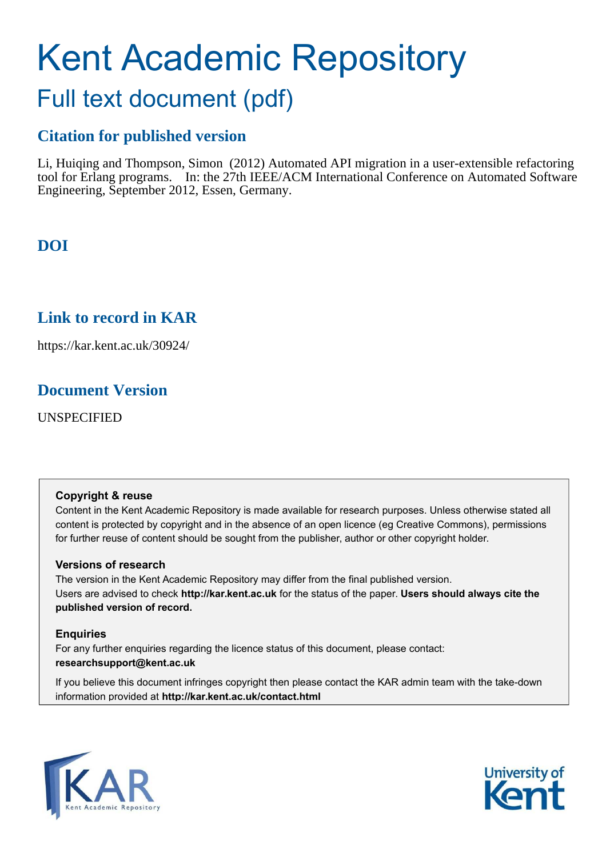# Kent Academic Repository

## Full text document (pdf)

## **Citation for published version**

Li, Huiqing and Thompson, Simon (2012) Automated API migration in a user-extensible refactoring tool for Erlang programs. In: the 27th IEEE/ACM International Conference on Automated Software Engineering, September 2012, Essen, Germany.

## **DOI**

## **Link to record in KAR**

https://kar.kent.ac.uk/30924/

## **Document Version**

UNSPECIFIED

#### **Copyright & reuse**

Content in the Kent Academic Repository is made available for research purposes. Unless otherwise stated all content is protected by copyright and in the absence of an open licence (eg Creative Commons), permissions for further reuse of content should be sought from the publisher, author or other copyright holder.

#### **Versions of research**

The version in the Kent Academic Repository may differ from the final published version. Users are advised to check **http://kar.kent.ac.uk** for the status of the paper. **Users should always cite the published version of record.**

#### **Enquiries**

For any further enquiries regarding the licence status of this document, please contact: **researchsupport@kent.ac.uk**

If you believe this document infringes copyright then please contact the KAR admin team with the take-down information provided at **http://kar.kent.ac.uk/contact.html**



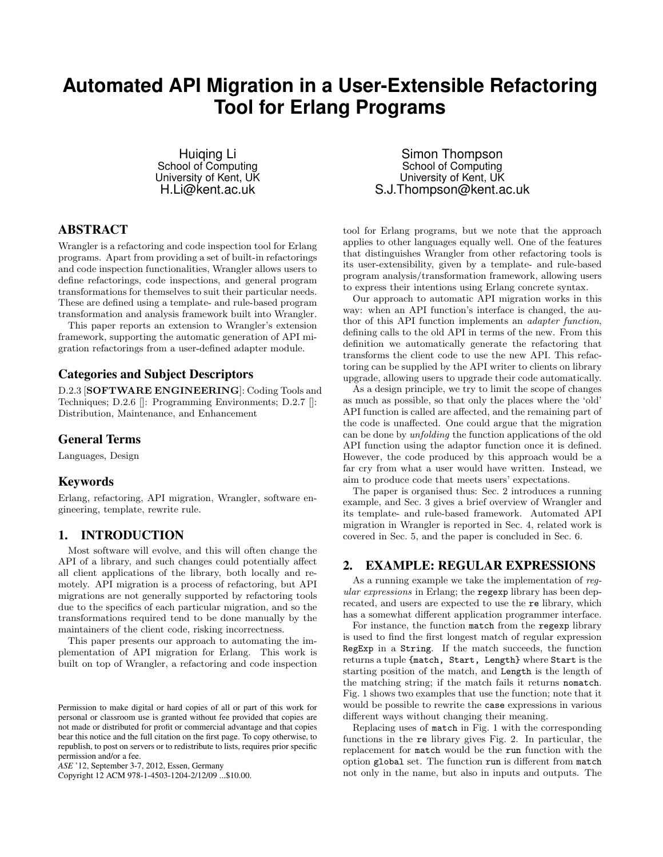## **Automated API Migration in a User-Extensible Refactoring Tool for Erlang Programs**

Huiqing Li School of Computing University of Kent, UK H.Li@kent.ac.uk

#### ABSTRACT

Wrangler is a refactoring and code inspection tool for Erlang programs. Apart from providing a set of built-in refactorings and code inspection functionalities, Wrangler allows users to define refactorings, code inspections, and general program transformations for themselves to suit their particular needs. These are defined using a template- and rule-based program transformation and analysis framework built into Wrangler.

This paper reports an extension to Wrangler's extension framework, supporting the automatic generation of API migration refactorings from a user-defined adapter module.

#### Categories and Subject Descriptors

D.2.3 [SOFTWARE ENGINEERING]: Coding Tools and Techniques; D.2.6 []: Programming Environments; D.2.7 []: Distribution, Maintenance, and Enhancement

#### General Terms

Languages, Design

#### Keywords

Erlang, refactoring, API migration, Wrangler, software engineering, template, rewrite rule.

#### 1. INTRODUCTION

Most software will evolve, and this will often change the API of a library, and such changes could potentially affect all client applications of the library, both locally and remotely. API migration is a process of refactoring, but API migrations are not generally supported by refactoring tools due to the specifics of each particular migration, and so the transformations required tend to be done manually by the maintainers of the client code, risking incorrectness.

This paper presents our approach to automating the implementation of API migration for Erlang. This work is built on top of Wrangler, a refactoring and code inspection

Copyright 12 ACM 978-1-4503-1204-2/12/09 ...\$10.00.

Simon Thompson School of Computing University of Kent, UK S.J.Thompson@kent.ac.uk

tool for Erlang programs, but we note that the approach applies to other languages equally well. One of the features that distinguishes Wrangler from other refactoring tools is its user-extensibility, given by a template- and rule-based program analysis/transformation framework, allowing users to express their intentions using Erlang concrete syntax.

Our approach to automatic API migration works in this way: when an API function's interface is changed, the author of this API function implements an *adapter function*, defining calls to the old API in terms of the new. From this definition we automatically generate the refactoring that transforms the client code to use the new API. This refactoring can be supplied by the API writer to clients on library upgrade, allowing users to upgrade their code automatically.

As a design principle, we try to limit the scope of changes as much as possible, so that only the places where the 'old' API function is called are affected, and the remaining part of the code is unaffected. One could argue that the migration can be done by *unfolding* the function applications of the old API function using the adaptor function once it is defined. However, the code produced by this approach would be a far cry from what a user would have written. Instead, we aim to produce code that meets users' expectations.

The paper is organised thus: Sec. 2 introduces a running example, and Sec. 3 gives a brief overview of Wrangler and its template- and rule-based framework. Automated API migration in Wrangler is reported in Sec. 4, related work is covered in Sec. 5, and the paper is concluded in Sec. 6.

#### 2. EXAMPLE: REGULAR EXPRESSIONS

As a running example we take the implementation of *regular expressions* in Erlang; the regexp library has been deprecated, and users are expected to use the re library, which has a somewhat different application programmer interface.

For instance, the function match from the regexp library is used to find the first longest match of regular expression RegExp in a String. If the match succeeds, the function returns a tuple {match, Start, Length} where Start is the starting position of the match, and Length is the length of the matching string; if the match fails it returns nomatch. Fig. 1 shows two examples that use the function; note that it would be possible to rewrite the case expressions in various different ways without changing their meaning.

Replacing uses of match in Fig. 1 with the corresponding functions in the re library gives Fig. 2. In particular, the replacement for match would be the run function with the option global set. The function run is different from match not only in the name, but also in inputs and outputs. The

Permission to make digital or hard copies of all or part of this work for personal or classroom use is granted without fee provided that copies are not made or distributed for profit or commercial advantage and that copies bear this notice and the full citation on the first page. To copy otherwise, to republish, to post on servers or to redistribute to lists, requires prior specific permission and/or a fee.

*ASE* '12, September 3-7, 2012, Essen, Germany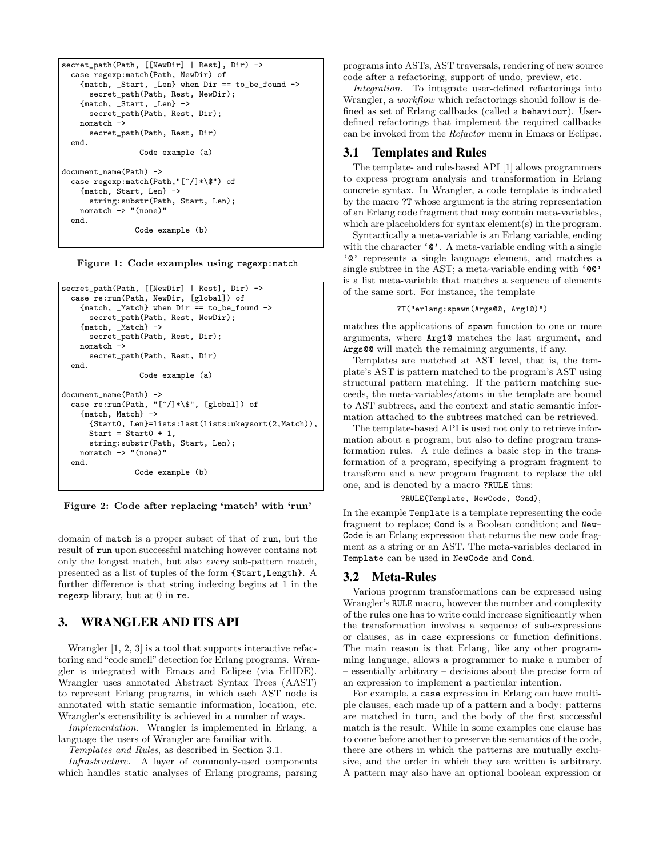```
secret_path(Path, [[NewDir] | Rest], Dir) ->
 case regexp:match(Path, NewDir) of
    {\frac{\text{match}}{\text{match}}}, Start, Len} when Dir == to_be_found ->
      secret_path(Path, Rest, NewDir);
    {match, _Start, _Len} ->
      secret_path(Path, Rest, Dir);
    nomatch ->
      secret_path(Path, Rest, Dir)
  end.
                  Code example (a)
document_name(Path) ->
  case regexp:match(Path,"[^/]*\$") of
    {match, Start, Len} ->
      string:substr(Path, Start, Len);
    nomatch -> "(none)"
 end.
                 Code example (b)
```
Figure 1: Code examples using regexp:match

```
secret_path(Path, [[NewDir] | Rest], Dir) ->
  case re:run(Path, NewDir, [global]) of
    {match, _Match} when Dir == to_be_found ->
      secret_path(Path, Rest, NewDir);
    {match, _Match} ->
      secret_path(Path, Rest, Dir);
    nomatch ->
      secret_path(Path, Rest, Dir)
  end.
                 Code example (a)
document_name(Path) ->
  case re:run(Path, "[^/]*\$", [global]) of
    {match, Match} ->
      {Start0, Len}=lists:last(lists:ukeysort(2,Match)),
      Start = Start0 + 1,
      string:substr(Path, Start, Len);
    nomatch -> "(none)"
  end.
                Code example (b)
```
Figure 2: Code after replacing 'match' with 'run'

domain of match is a proper subset of that of run, but the result of run upon successful matching however contains not only the longest match, but also *every* sub-pattern match, presented as a list of tuples of the form {Start,Length}. A further difference is that string indexing begins at 1 in the regexp library, but at 0 in re.

#### 3. WRANGLER AND ITS API

Wrangler [1, 2, 3] is a tool that supports interactive refactoring and "code smell" detection for Erlang programs. Wrangler is integrated with Emacs and Eclipse (via ErlIDE). Wrangler uses annotated Abstract Syntax Trees (AAST) to represent Erlang programs, in which each AST node is annotated with static semantic information, location, etc. Wrangler's extensibility is achieved in a number of ways.

*Implementation.* Wrangler is implemented in Erlang, a language the users of Wrangler are familiar with.

*Templates and Rules*, as described in Section 3.1.

*Infrastructure.* A layer of commonly-used components which handles static analyses of Erlang programs, parsing programs into ASTs, AST traversals, rendering of new source code after a refactoring, support of undo, preview, etc.

*Integration.* To integrate user-defined refactorings into Wrangler, a *workflow* which refactorings should follow is defined as set of Erlang callbacks (called a behaviour). Userdefined refactorings that implement the required callbacks can be invoked from the *Refactor* menu in Emacs or Eclipse.

#### 3.1 Templates and Rules

The template- and rule-based API [1] allows programmers to express program analysis and transformation in Erlang concrete syntax. In Wrangler, a code template is indicated by the macro ?T whose argument is the string representation of an Erlang code fragment that may contain meta-variables, which are placeholders for syntax element(s) in the program.

Syntactically a meta-variable is an Erlang variable, ending with the character ' $\mathbb{C}$ '. A meta-variable ending with a single '@' represents a single language element, and matches a single subtree in the AST; a meta-variable ending with ' $@$ ' is a list meta-variable that matches a sequence of elements of the same sort. For instance, the template

```
?T("erlang:spawn(Args@@, Arg1@)")
```
matches the applications of spawn function to one or more arguments, where Arg1@ matches the last argument, and Args@@ will match the remaining arguments, if any.

Templates are matched at AST level, that is, the template's AST is pattern matched to the program's AST using structural pattern matching. If the pattern matching succeeds, the meta-variables/atoms in the template are bound to AST subtrees, and the context and static semantic information attached to the subtrees matched can be retrieved.

The template-based API is used not only to retrieve information about a program, but also to define program transformation rules. A rule defines a basic step in the transformation of a program, specifying a program fragment to transform and a new program fragment to replace the old one, and is denoted by a macro ?RULE thus:

#### ?RULE(Template, NewCode, Cond),

In the example Template is a template representing the code fragment to replace; Cond is a Boolean condition; and New-Code is an Erlang expression that returns the new code fragment as a string or an AST. The meta-variables declared in Template can be used in NewCode and Cond.

#### 3.2 Meta-Rules

Various program transformations can be expressed using Wrangler's RULE macro, however the number and complexity of the rules one has to write could increase significantly when the transformation involves a sequence of sub-expressions or clauses, as in case expressions or function definitions. The main reason is that Erlang, like any other programming language, allows a programmer to make a number of – essentially arbitrary – decisions about the precise form of an expression to implement a particular intention.

For example, a case expression in Erlang can have multiple clauses, each made up of a pattern and a body: patterns are matched in turn, and the body of the first successful match is the result. While in some examples one clause has to come before another to preserve the semantics of the code, there are others in which the patterns are mutually exclusive, and the order in which they are written is arbitrary. A pattern may also have an optional boolean expression or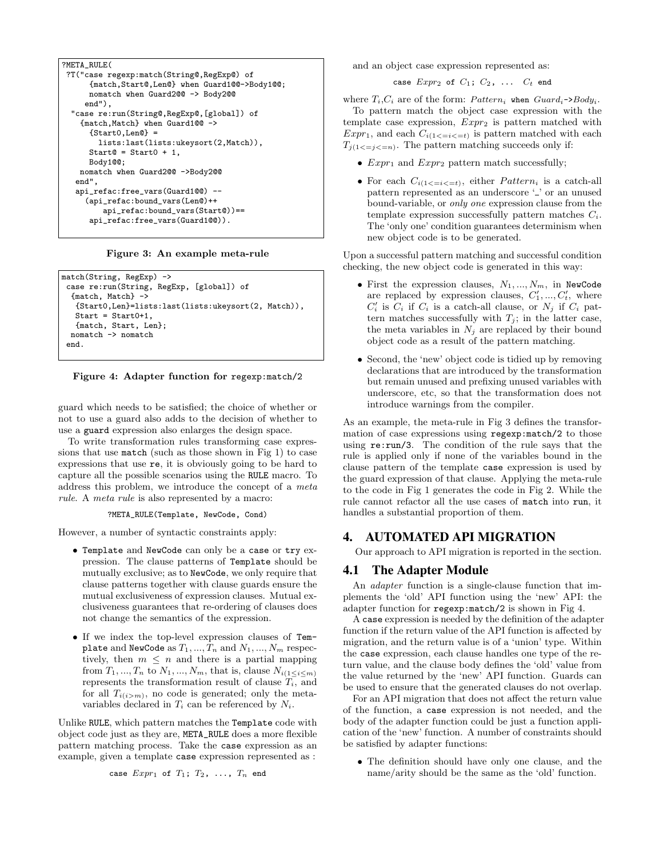```
?META_RULE(
?T("case regexp:match(String@,RegExp@) of
     {match,Start@,Len@} when Guard1@@->Body1@@;
     nomatch when Guard2@@ -> Body2@@
    end"),
 "case re:run(String@,RegExp@,[global]) of
   {match,Match} when Guard1@@ ->
     {Start0, Len@} =lists:last(lists:ukeysort(2,Match)),
     Start@ = Start0 + 1,Body1@@;
   nomatch when Guard2@@ ->Body2@@
  end",
  api_refac:free_vars(Guard1@@) --
     (api_refac:bound_vars(Len@)++
        api_refac:bound_vars(Start@))==
     api_refac:free_vars(Guard1@@)).
```
Figure 3: An example meta-rule

```
match(String, RegExp) ->
 case re:run(String, RegExp, [global]) of
  {match, Match} ->
   {Start0,Len}=lists:last(lists:ukeysort(2, Match)),
   Start = Start0+1.
   {match, Start, Len};
  nomatch -> nomatch
 end.
```
Figure 4: Adapter function for regexp:match/2

guard which needs to be satisfied; the choice of whether or not to use a guard also adds to the decision of whether to use a guard expression also enlarges the design space.

To write transformation rules transforming case expressions that use match (such as those shown in Fig 1) to case expressions that use re, it is obviously going to be hard to capture all the possible scenarios using the RULE macro. To address this problem, we introduce the concept of a *meta rule*. A *meta rule* is also represented by a macro:

?META\_RULE(Template, NewCode, Cond)

However, a number of syntactic constraints apply:

- Template and NewCode can only be a case or try expression. The clause patterns of Template should be mutually exclusive; as to NewCode, we only require that clause patterns together with clause guards ensure the mutual exclusiveness of expression clauses. Mutual exclusiveness guarantees that re-ordering of clauses does not change the semantics of the expression.
- If we index the top-level expression clauses of Template and NewCode as  $T_1, ..., T_n$  and  $N_1, ..., N_m$  respectively, then  $m \leq n$  and there is a partial mapping from  $T_1, ..., T_n$  to  $N_1, ..., N_m$ , that is, clause  $N_{i(1 \le i \le m)}$ represents the transformation result of clause  $T_i$ , and for all  $T_{i(i> m)}$ , no code is generated; only the metavariables declared in  $T_i$  can be referenced by  $N_i$ .

Unlike RULE, which pattern matches the Template code with object code just as they are, META\_RULE does a more flexible pattern matching process. Take the case expression as an example, given a template case expression represented as :

case 
$$
Expr_1
$$
 of  $T_1$ ;  $T_2$ , ...,  $T_n$  end

and an object case expression represented as:

case 
$$
Expr_2
$$
 of  $C_1$ ;  $C_2$ , ...  $C_t$  end

where  $T_i, C_i$  are of the form: Pattern<sub>i</sub> when  $Guard_i \rightarrow Body_i$ . To pattern match the object case expression with the template case expression,  $Expr_2$  is pattern matched with  $Expr_1$ , and each  $C_{i(1\leq i\leq t)}$  is pattern matched with each  $T_{i(1\leq i\leq n)}$ . The pattern matching succeeds only if:

- $Expr_1$  and  $Expr_2$  pattern match successfully;
- For each  $C_{i(1\leq i\leq t)}$ , either *Pattern<sub>i</sub>* is a catch-all pattern represented as an underscore  $\lq$  or an unused bound-variable, or *only one* expression clause from the template expression successfully pattern matches  $C_i$ . The 'only one' condition guarantees determinism when new object code is to be generated.

Upon a successful pattern matching and successful condition checking, the new object code is generated in this way:

- First the expression clauses,  $N_1, ..., N_m$ , in NewCode are replaced by expression clauses,  $C'_1, ..., C'_t$ , where  $C_i'$  is  $C_i$  if  $C_i$  is a catch-all clause, or  $N_j$  if  $C_i$  pattern matches successfully with  $T_i$ ; in the latter case, the meta variables in  $N_i$  are replaced by their bound object code as a result of the pattern matching.
- Second, the 'new' object code is tidied up by removing declarations that are introduced by the transformation but remain unused and prefixing unused variables with underscore, etc, so that the transformation does not introduce warnings from the compiler.

As an example, the meta-rule in Fig 3 defines the transformation of case expressions using regexp:match/2 to those using re:run/3. The condition of the rule says that the rule is applied only if none of the variables bound in the clause pattern of the template case expression is used by the guard expression of that clause. Applying the meta-rule to the code in Fig 1 generates the code in Fig 2. While the rule cannot refactor all the use cases of match into run, it handles a substantial proportion of them.

#### 4. AUTOMATED API MIGRATION

Our approach to API migration is reported in the section.

#### 4.1 The Adapter Module

An *adapter* function is a single-clause function that implements the 'old' API function using the 'new' API: the adapter function for regexp:match/2 is shown in Fig 4.

A case expression is needed by the definition of the adapter function if the return value of the API function is affected by migration, and the return value is of a 'union' type. Within the case expression, each clause handles one type of the return value, and the clause body defines the 'old' value from the value returned by the 'new' API function. Guards can be used to ensure that the generated clauses do not overlap.

For an API migration that does not affect the return value of the function, a case expression is not needed, and the body of the adapter function could be just a function application of the 'new' function. A number of constraints should be satisfied by adapter functions:

• The definition should have only one clause, and the name/arity should be the same as the 'old' function.